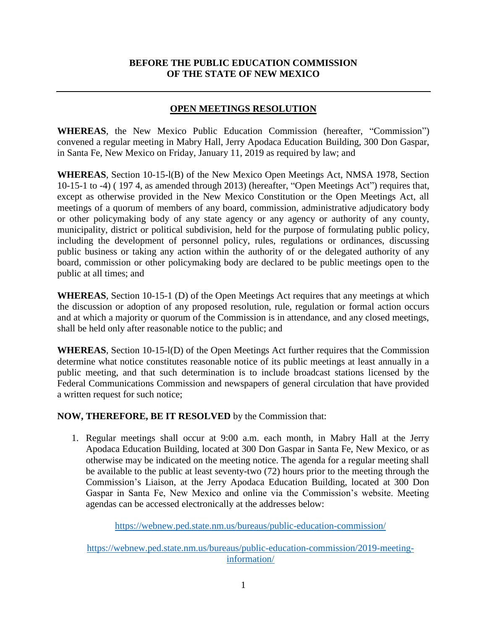## **BEFORE THE PUBLIC EDUCATION COMMISSION OF THE STATE OF NEW MEXICO**

## **OPEN MEETINGS RESOLUTION**

**WHEREAS**, the New Mexico Public Education Commission (hereafter, "Commission") convened a regular meeting in Mabry Hall, Jerry Apodaca Education Building, 300 Don Gaspar, in Santa Fe, New Mexico on Friday, January 11, 2019 as required by law; and

**WHEREAS**, Section 10-15-l(B) of the New Mexico Open Meetings Act, NMSA 1978, Section 10-15-1 to -4) ( 197 4, as amended through 2013) (hereafter, "Open Meetings Act") requires that, except as otherwise provided in the New Mexico Constitution or the Open Meetings Act, all meetings of a quorum of members of any board, commission, administrative adjudicatory body or other policymaking body of any state agency or any agency or authority of any county, municipality, district or political subdivision, held for the purpose of formulating public policy, including the development of personnel policy, rules, regulations or ordinances, discussing public business or taking any action within the authority of or the delegated authority of any board, commission or other policymaking body are declared to be public meetings open to the public at all times; and

**WHEREAS**, Section 10-15-1 (D) of the Open Meetings Act requires that any meetings at which the discussion or adoption of any proposed resolution, rule, regulation or formal action occurs and at which a majority or quorum of the Commission is in attendance, and any closed meetings, shall be held only after reasonable notice to the public; and

**WHEREAS**, Section 10-15-l(D) of the Open Meetings Act further requires that the Commission determine what notice constitutes reasonable notice of its public meetings at least annually in a public meeting, and that such determination is to include broadcast stations licensed by the Federal Communications Commission and newspapers of general circulation that have provided a written request for such notice;

## **NOW, THEREFORE, BE IT RESOLVED** by the Commission that:

1. Regular meetings shall occur at 9:00 a.m. each month, in Mabry Hall at the Jerry Apodaca Education Building, located at 300 Don Gaspar in Santa Fe, New Mexico, or as otherwise may be indicated on the meeting notice. The agenda for a regular meeting shall be available to the public at least seventy-two (72) hours prior to the meeting through the Commission's Liaison, at the Jerry Apodaca Education Building, located at 300 Don Gaspar in Santa Fe, New Mexico and online via the Commission's website. Meeting agendas can be accessed electronically at the addresses below:

<https://webnew.ped.state.nm.us/bureaus/public-education-commission/>

[https://webnew.ped.state.nm.us/bureaus/public-education-commission/2019-meeting](https://webnew.ped.state.nm.us/bureaus/public-education-commission/2019-meeting-information/)[information/](https://webnew.ped.state.nm.us/bureaus/public-education-commission/2019-meeting-information/)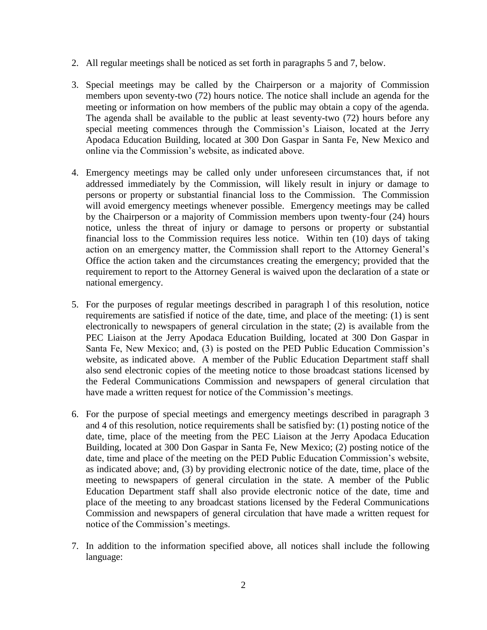- 2. All regular meetings shall be noticed as set forth in paragraphs 5 and 7, below.
- 3. Special meetings may be called by the Chairperson or a majority of Commission members upon seventy-two (72) hours notice. The notice shall include an agenda for the meeting or information on how members of the public may obtain a copy of the agenda. The agenda shall be available to the public at least seventy-two (72) hours before any special meeting commences through the Commission's Liaison, located at the Jerry Apodaca Education Building, located at 300 Don Gaspar in Santa Fe, New Mexico and online via the Commission's website, as indicated above.
- 4. Emergency meetings may be called only under unforeseen circumstances that, if not addressed immediately by the Commission, will likely result in injury or damage to persons or property or substantial financial loss to the Commission. The Commission will avoid emergency meetings whenever possible. Emergency meetings may be called by the Chairperson or a majority of Commission members upon twenty-four (24) hours notice, unless the threat of injury or damage to persons or property or substantial financial loss to the Commission requires less notice. Within ten (10) days of taking action on an emergency matter, the Commission shall report to the Attorney General's Office the action taken and the circumstances creating the emergency; provided that the requirement to report to the Attorney General is waived upon the declaration of a state or national emergency.
- 5. For the purposes of regular meetings described in paragraph l of this resolution, notice requirements are satisfied if notice of the date, time, and place of the meeting: (1) is sent electronically to newspapers of general circulation in the state; (2) is available from the PEC Liaison at the Jerry Apodaca Education Building, located at 300 Don Gaspar in Santa Fe, New Mexico; and, (3) is posted on the PED Public Education Commission's website, as indicated above. A member of the Public Education Department staff shall also send electronic copies of the meeting notice to those broadcast stations licensed by the Federal Communications Commission and newspapers of general circulation that have made a written request for notice of the Commission's meetings.
- 6. For the purpose of special meetings and emergency meetings described in paragraph 3 and 4 of this resolution, notice requirements shall be satisfied by: (1) posting notice of the date, time, place of the meeting from the PEC Liaison at the Jerry Apodaca Education Building, located at 300 Don Gaspar in Santa Fe, New Mexico; (2) posting notice of the date, time and place of the meeting on the PED Public Education Commission's website, as indicated above; and, (3) by providing electronic notice of the date, time, place of the meeting to newspapers of general circulation in the state. A member of the Public Education Department staff shall also provide electronic notice of the date, time and place of the meeting to any broadcast stations licensed by the Federal Communications Commission and newspapers of general circulation that have made a written request for notice of the Commission's meetings.
- 7. In addition to the information specified above, all notices shall include the following language: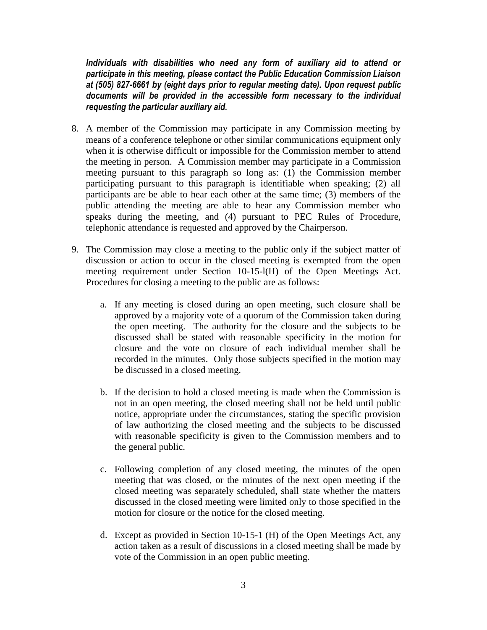*Individuals with disabilities who need any form of auxiliary aid to attend or participate in this meeting, please contact the Public Education Commission Liaison at (505) 827-6661 by (eight days prior to regular meeting date). Upon request public documents will be provided in the accessible form necessary to the individual requesting the particular auxiliary aid.*

- 8. A member of the Commission may participate in any Commission meeting by means of a conference telephone or other similar communications equipment only when it is otherwise difficult or impossible for the Commission member to attend the meeting in person. A Commission member may participate in a Commission meeting pursuant to this paragraph so long as: (1) the Commission member participating pursuant to this paragraph is identifiable when speaking; (2) all participants are be able to hear each other at the same time; (3) members of the public attending the meeting are able to hear any Commission member who speaks during the meeting, and (4) pursuant to PEC Rules of Procedure, telephonic attendance is requested and approved by the Chairperson.
- 9. The Commission may close a meeting to the public only if the subject matter of discussion or action to occur in the closed meeting is exempted from the open meeting requirement under Section 10-15-l(H) of the Open Meetings Act. Procedures for closing a meeting to the public are as follows:
	- a. If any meeting is closed during an open meeting, such closure shall be approved by a majority vote of a quorum of the Commission taken during the open meeting. The authority for the closure and the subjects to be discussed shall be stated with reasonable specificity in the motion for closure and the vote on closure of each individual member shall be recorded in the minutes. Only those subjects specified in the motion may be discussed in a closed meeting.
	- b. If the decision to hold a closed meeting is made when the Commission is not in an open meeting, the closed meeting shall not be held until public notice, appropriate under the circumstances, stating the specific provision of law authorizing the closed meeting and the subjects to be discussed with reasonable specificity is given to the Commission members and to the general public.
	- c. Following completion of any closed meeting, the minutes of the open meeting that was closed, or the minutes of the next open meeting if the closed meeting was separately scheduled, shall state whether the matters discussed in the closed meeting were limited only to those specified in the motion for closure or the notice for the closed meeting.
	- d. Except as provided in Section 10-15-1 (H) of the Open Meetings Act, any action taken as a result of discussions in a closed meeting shall be made by vote of the Commission in an open public meeting.